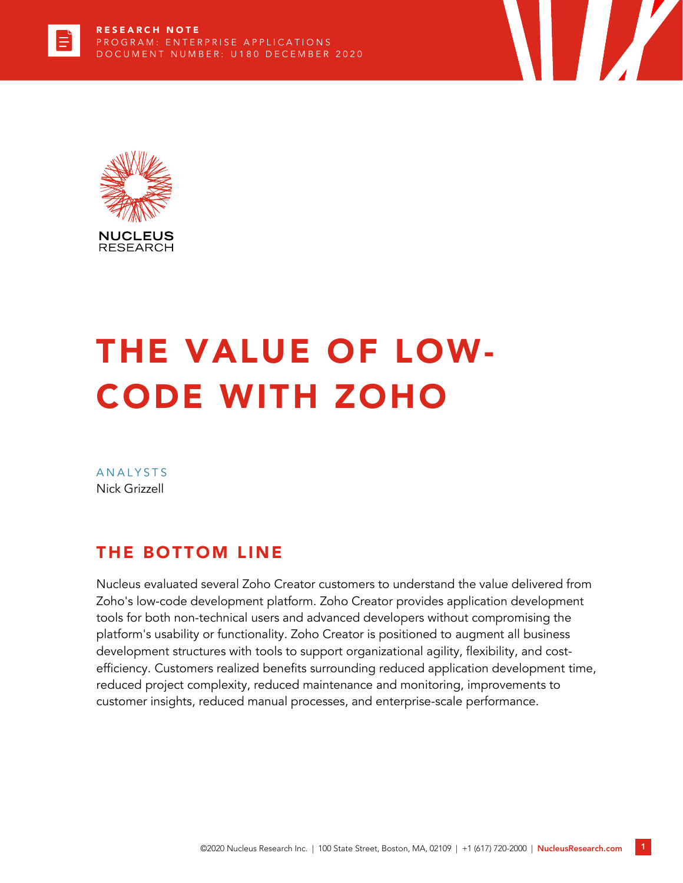



# THE VALUE OF LOW-CODE WITH ZOHO

**ANALYSTS** Nick Grizzell

## THE BOTTOM LINE

Nucleus evaluated several Zoho Creator customers to understand the value delivered from Zoho's low-code development platform. Zoho Creator provides application development tools for both non-technical users and advanced developers without compromising the platform's usability or functionality. Zoho Creator is positioned to augment all business development structures with tools to support organizational agility, flexibility, and costefficiency. Customers realized benefits surrounding reduced application development time, reduced project complexity, reduced maintenance and monitoring, improvements to customer insights, reduced manual processes, and enterprise-scale performance.

 $\mathcal{L}$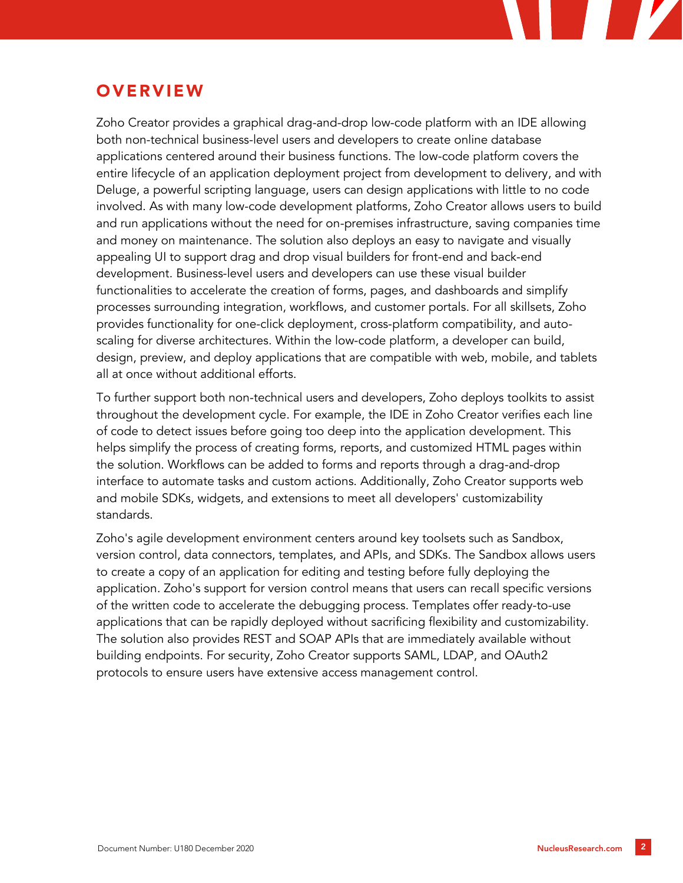## **OVERVIEW**

Zoho Creator provides a graphical drag-and-drop low-code platform with an IDE allowing both non-technical business-level users and developers to create online database applications centered around their business functions. The low-code platform covers the entire lifecycle of an application deployment project from development to delivery, and with Deluge, a powerful scripting language, users can design applications with little to no code involved. As with many low-code development platforms, Zoho Creator allows users to build and run applications without the need for on-premises infrastructure, saving companies time and money on maintenance. The solution also deploys an easy to navigate and visually appealing UI to support drag and drop visual builders for front-end and back-end development. Business-level users and developers can use these visual builder functionalities to accelerate the creation of forms, pages, and dashboards and simplify processes surrounding integration, workflows, and customer portals. For all skillsets, Zoho provides functionality for one-click deployment, cross-platform compatibility, and autoscaling for diverse architectures. Within the low-code platform, a developer can build, design, preview, and deploy applications that are compatible with web, mobile, and tablets all at once without additional efforts.

To further support both non-technical users and developers, Zoho deploys toolkits to assist throughout the development cycle. For example, the IDE in Zoho Creator verifies each line of code to detect issues before going too deep into the application development. This helps simplify the process of creating forms, reports, and customized HTML pages within the solution. Workflows can be added to forms and reports through a drag-and-drop interface to automate tasks and custom actions. Additionally, Zoho Creator supports web and mobile SDKs, widgets, and extensions to meet all developers' customizability standards.

Zoho's agile development environment centers around key toolsets such as Sandbox, version control, data connectors, templates, and APIs, and SDKs. The Sandbox allows users to create a copy of an application for editing and testing before fully deploying the application. Zoho's support for version control means that users can recall specific versions of the written code to accelerate the debugging process. Templates offer ready-to-use applications that can be rapidly deployed without sacrificing flexibility and customizability. The solution also provides REST and SOAP APIs that are immediately available without building endpoints. For security, Zoho Creator supports SAML, LDAP, and OAuth2 protocols to ensure users have extensive access management control.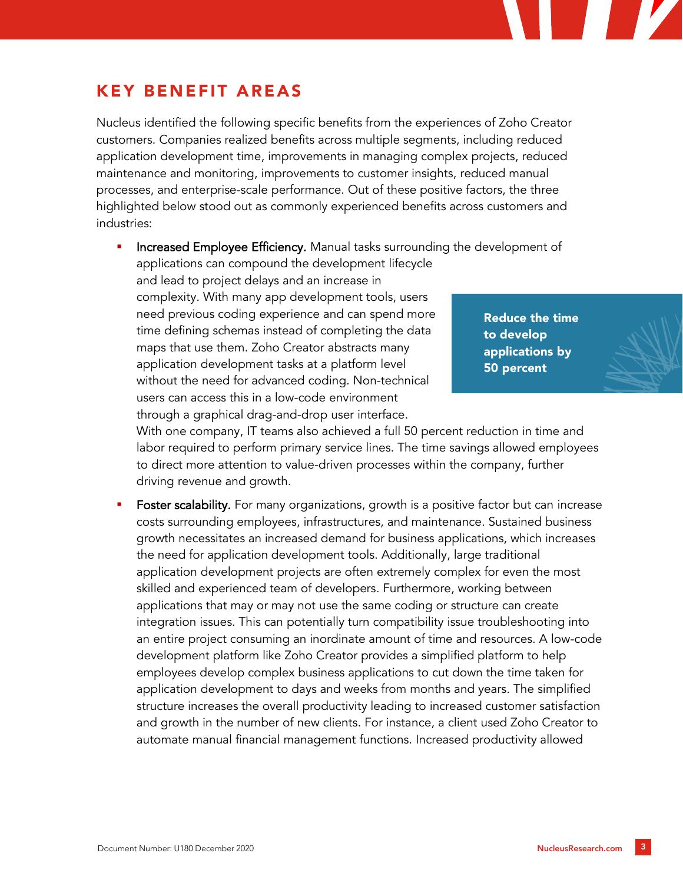## KEY BEN EFIT AREAS

Nucleus identified the following specific benefits from the experiences of Zoho Creator customers. Companies realized benefits across multiple segments, including reduced application development time, improvements in managing complex projects, reduced maintenance and monitoring, improvements to customer insights, reduced manual processes, and enterprise-scale performance. Out of these positive factors, the three highlighted below stood out as commonly experienced benefits across customers and industries:

Increased Employee Efficiency. Manual tasks surrounding the development of applications can compound the development lifecycle

and lead to project delays and an increase in complexity. With many app development tools, users need previous coding experience and can spend more time defining schemas instead of completing the data maps that use them. Zoho Creator abstracts many application development tasks at a platform level without the need for advanced coding. Non-technical users can access this in a low-code environment through a graphical drag-and-drop user interface.

Reduce the time to develop applications by 50 percent

With one company, IT teams also achieved a full 50 percent reduction in time and labor required to perform primary service lines. The time savings allowed employees to direct more attention to value-driven processes within the company, further driving revenue and growth.

**Foster scalability.** For many organizations, growth is a positive factor but can increase costs surrounding employees, infrastructures, and maintenance. Sustained business growth necessitates an increased demand for business applications, which increases the need for application development tools. Additionally, large traditional application development projects are often extremely complex for even the most skilled and experienced team of developers. Furthermore, working between applications that may or may not use the same coding or structure can create integration issues. This can potentially turn compatibility issue troubleshooting into an entire project consuming an inordinate amount of time and resources. A low-code development platform like Zoho Creator provides a simplified platform to help employees develop complex business applications to cut down the time taken for application development to days and weeks from months and years. The simplified structure increases the overall productivity leading to increased customer satisfaction and growth in the number of new clients. For instance, a client used Zoho Creator to automate manual financial management functions. Increased productivity allowed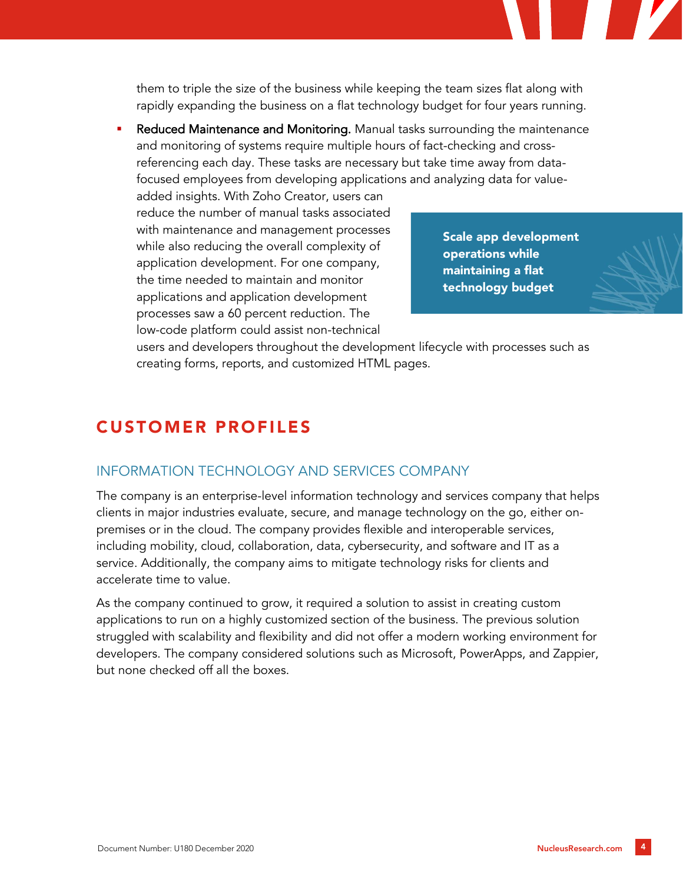them to triple the size of the business while keeping the team sizes flat along with rapidly expanding the business on a flat technology budget for four years running.

Reduced Maintenance and Monitoring. Manual tasks surrounding the maintenance and monitoring of systems require multiple hours of fact-checking and crossreferencing each day. These tasks are necessary but take time away from datafocused employees from developing applications and analyzing data for value-

added insights. With Zoho Creator, users can reduce the number of manual tasks associated with maintenance and management processes while also reducing the overall complexity of application development. For one company, the time needed to maintain and monitor applications and application development processes saw a 60 percent reduction. The low-code platform could assist non-technical

Scale app development operations while maintaining a flat technology budget



users and developers throughout the development lifecycle with processes such as creating forms, reports, and customized HTML pages.

## CUSTOMER PROFILES

#### INFORMATION TECHNOLOGY AND SERVICES COMPANY

The company is an enterprise-level information technology and services company that helps clients in major industries evaluate, secure, and manage technology on the go, either onpremises or in the cloud. The company provides flexible and interoperable services, including mobility, cloud, collaboration, data, cybersecurity, and software and IT as a service. Additionally, the company aims to mitigate technology risks for clients and accelerate time to value.

As the company continued to grow, it required a solution to assist in creating custom applications to run on a highly customized section of the business. The previous solution struggled with scalability and flexibility and did not offer a modern working environment for developers. The company considered solutions such as Microsoft, PowerApps, and Zappier, but none checked off all the boxes.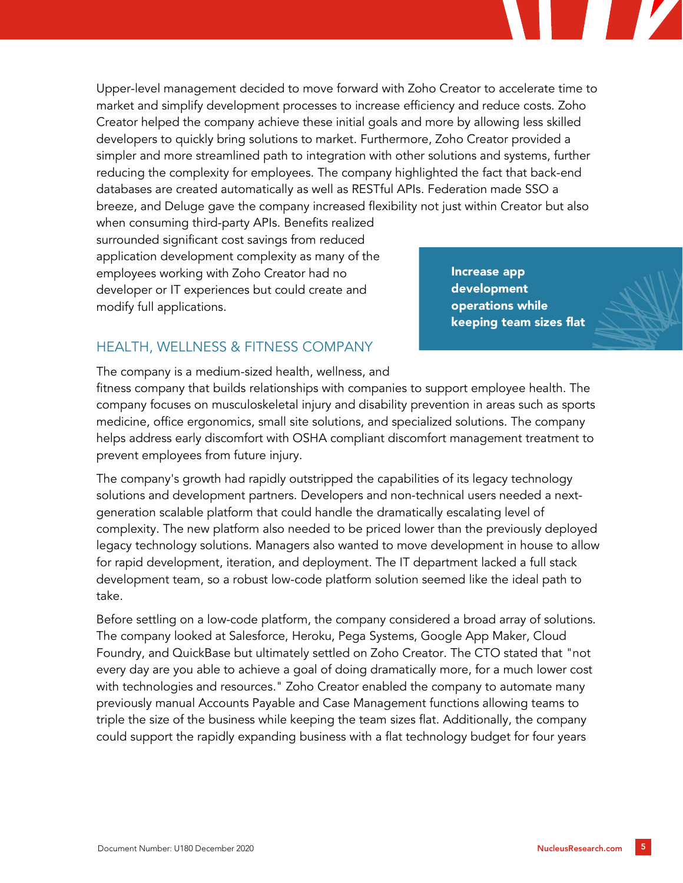Upper-level management decided to move forward with Zoho Creator to accelerate time to market and simplify development processes to increase efficiency and reduce costs. Zoho Creator helped the company achieve these initial goals and more by allowing less skilled developers to quickly bring solutions to market. Furthermore, Zoho Creator provided a simpler and more streamlined path to integration with other solutions and systems, further reducing the complexity for employees. The company highlighted the fact that back-end databases are created automatically as well as RESTful APIs. Federation made SSO a breeze, and Deluge gave the company increased flexibility not just within Creator but also

when consuming third-party APIs. Benefits realized surrounded significant cost savings from reduced application development complexity as many of the employees working with Zoho Creator had no developer or IT experiences but could create and modify full applications.

Increase app development operations while keeping team sizes flat

#### HEALTH, WELLNESS & FITNESS COMPANY

The company is a medium-sized health, wellness, and

fitness company that builds relationships with companies to support employee health. The company focuses on musculoskeletal injury and disability prevention in areas such as sports medicine, office ergonomics, small site solutions, and specialized solutions. The company helps address early discomfort with OSHA compliant discomfort management treatment to prevent employees from future injury.

The company's growth had rapidly outstripped the capabilities of its legacy technology solutions and development partners. Developers and non-technical users needed a nextgeneration scalable platform that could handle the dramatically escalating level of complexity. The new platform also needed to be priced lower than the previously deployed legacy technology solutions. Managers also wanted to move development in house to allow for rapid development, iteration, and deployment. The IT department lacked a full stack development team, so a robust low-code platform solution seemed like the ideal path to take.

Before settling on a low-code platform, the company considered a broad array of solutions. The company looked at Salesforce, Heroku, Pega Systems, Google App Maker, Cloud Foundry, and QuickBase but ultimately settled on Zoho Creator. The CTO stated that "not every day are you able to achieve a goal of doing dramatically more, for a much lower cost with technologies and resources." Zoho Creator enabled the company to automate many previously manual Accounts Payable and Case Management functions allowing teams to triple the size of the business while keeping the team sizes flat. Additionally, the company could support the rapidly expanding business with a flat technology budget for four years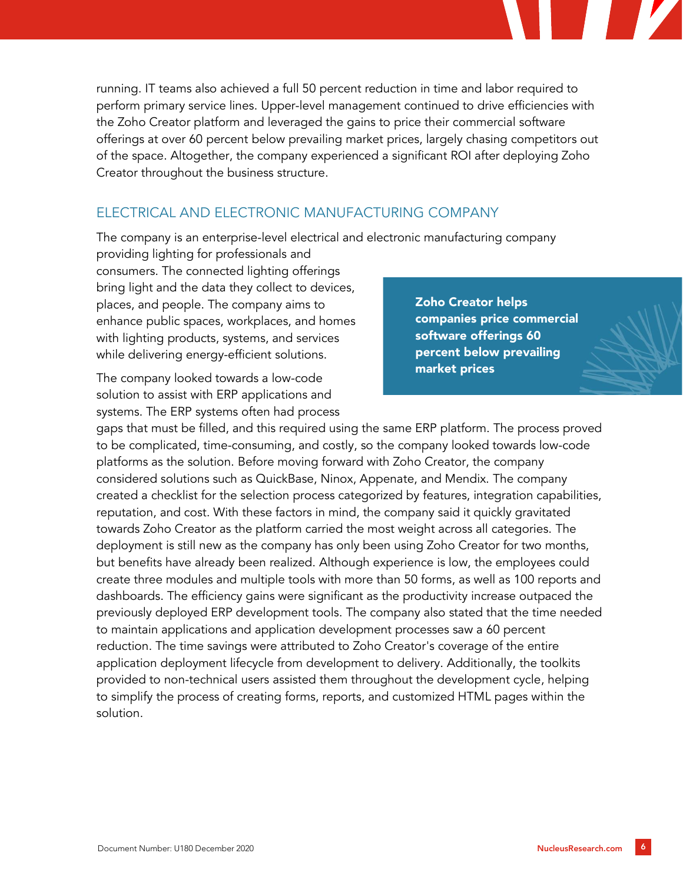running. IT teams also achieved a full 50 percent reduction in time and labor required to perform primary service lines. Upper-level management continued to drive efficiencies with the Zoho Creator platform and leveraged the gains to price their commercial software offerings at over 60 percent below prevailing market prices, largely chasing competitors out of the space. Altogether, the company experienced a significant ROI after deploying Zoho Creator throughout the business structure.

#### ELECTRICAL AND ELECTRONIC MANUFACTURING COMPANY

The company is an enterprise-level electrical and electronic manufacturing company

providing lighting for professionals and consumers. The connected lighting offerings bring light and the data they collect to devices, places, and people. The company aims to enhance public spaces, workplaces, and homes with lighting products, systems, and services while delivering energy-efficient solutions.

The company looked towards a low-code solution to assist with ERP applications and systems. The ERP systems often had process

Zoho Creator helps companies price commercial software offerings 60 percent below prevailing market prices

gaps that must be filled, and this required using the same ERP platform. The process proved to be complicated, time-consuming, and costly, so the company looked towards low-code platforms as the solution. Before moving forward with Zoho Creator, the company considered solutions such as QuickBase, Ninox, Appenate, and Mendix. The company created a checklist for the selection process categorized by features, integration capabilities, reputation, and cost. With these factors in mind, the company said it quickly gravitated towards Zoho Creator as the platform carried the most weight across all categories. The deployment is still new as the company has only been using Zoho Creator for two months, but benefits have already been realized. Although experience is low, the employees could create three modules and multiple tools with more than 50 forms, as well as 100 reports and dashboards. The efficiency gains were significant as the productivity increase outpaced the previously deployed ERP development tools. The company also stated that the time needed to maintain applications and application development processes saw a 60 percent reduction. The time savings were attributed to Zoho Creator's coverage of the entire application deployment lifecycle from development to delivery. Additionally, the toolkits provided to non-technical users assisted them throughout the development cycle, helping to simplify the process of creating forms, reports, and customized HTML pages within the solution.